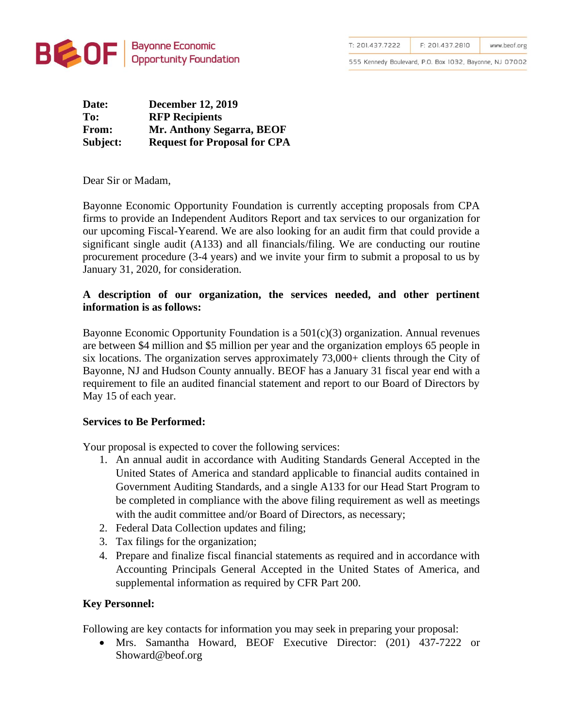

| T: 201.437.7222 | F: 201.437.2810 | www.beof.org |
|-----------------|-----------------|--------------|
|-----------------|-----------------|--------------|

555 Kennedy Boulevard, P.O. Box 1032, Bayonne, NJ 07002

| Date:        | <b>December 12, 2019</b>            |  |
|--------------|-------------------------------------|--|
| To:          | <b>RFP Recipients</b>               |  |
| <b>From:</b> | Mr. Anthony Segarra, BEOF           |  |
| Subject:     | <b>Request for Proposal for CPA</b> |  |

Dear Sir or Madam,

Bayonne Economic Opportunity Foundation is currently accepting proposals from CPA firms to provide an Independent Auditors Report and tax services to our organization for our upcoming Fiscal-Yearend. We are also looking for an audit firm that could provide a significant single audit (A133) and all financials/filing. We are conducting our routine procurement procedure (3-4 years) and we invite your firm to submit a proposal to us by January 31, 2020, for consideration.

## **A description of our organization, the services needed, and other pertinent information is as follows:**

Bayonne Economic Opportunity Foundation is a 501(c)(3) organization. Annual revenues are between \$4 million and \$5 million per year and the organization employs 65 people in six locations. The organization serves approximately 73,000+ clients through the City of Bayonne, NJ and Hudson County annually. BEOF has a January 31 fiscal year end with a requirement to file an audited financial statement and report to our Board of Directors by May 15 of each year.

## **Services to Be Performed:**

Your proposal is expected to cover the following services:

- 1. An annual audit in accordance with Auditing Standards General Accepted in the United States of America and standard applicable to financial audits contained in Government Auditing Standards, and a single A133 for our Head Start Program to be completed in compliance with the above filing requirement as well as meetings with the audit committee and/or Board of Directors, as necessary;
- 2. Federal Data Collection updates and filing;
- 3. Tax filings for the organization;
- 4. Prepare and finalize fiscal financial statements as required and in accordance with Accounting Principals General Accepted in the United States of America, and supplemental information as required by CFR Part 200.

## **Key Personnel:**

Following are key contacts for information you may seek in preparing your proposal:

• Mrs. Samantha Howard, BEOF Executive Director: (201) 437-7222 or Showard@beof.org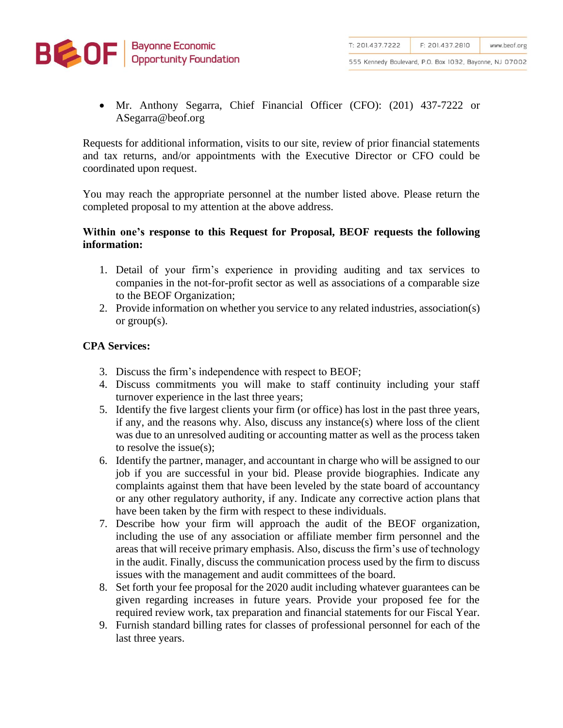

555 Kennedy Boulevard, P.O. Box 1032, Bayonne, NJ 07002

• Mr. Anthony Segarra, Chief Financial Officer (CFO): (201) 437-7222 or ASegarra@beof.org

Requests for additional information, visits to our site, review of prior financial statements and tax returns, and/or appointments with the Executive Director or CFO could be coordinated upon request.

You may reach the appropriate personnel at the number listed above. Please return the completed proposal to my attention at the above address.

## **Within one's response to this Request for Proposal, BEOF requests the following information:**

- 1. Detail of your firm's experience in providing auditing and tax services to companies in the not-for-profit sector as well as associations of a comparable size to the BEOF Organization;
- 2. Provide information on whether you service to any related industries, association(s) or group(s).

# **CPA Services:**

- 3. Discuss the firm's independence with respect to BEOF;
- 4. Discuss commitments you will make to staff continuity including your staff turnover experience in the last three years;
- 5. Identify the five largest clients your firm (or office) has lost in the past three years, if any, and the reasons why. Also, discuss any instance(s) where loss of the client was due to an unresolved auditing or accounting matter as well as the process taken to resolve the issue(s);
- 6. Identify the partner, manager, and accountant in charge who will be assigned to our job if you are successful in your bid. Please provide biographies. Indicate any complaints against them that have been leveled by the state board of accountancy or any other regulatory authority, if any. Indicate any corrective action plans that have been taken by the firm with respect to these individuals.
- 7. Describe how your firm will approach the audit of the BEOF organization, including the use of any association or affiliate member firm personnel and the areas that will receive primary emphasis. Also, discuss the firm's use of technology in the audit. Finally, discuss the communication process used by the firm to discuss issues with the management and audit committees of the board.
- 8. Set forth your fee proposal for the 2020 audit including whatever guarantees can be given regarding increases in future years. Provide your proposed fee for the required review work, tax preparation and financial statements for our Fiscal Year.
- 9. Furnish standard billing rates for classes of professional personnel for each of the last three years.